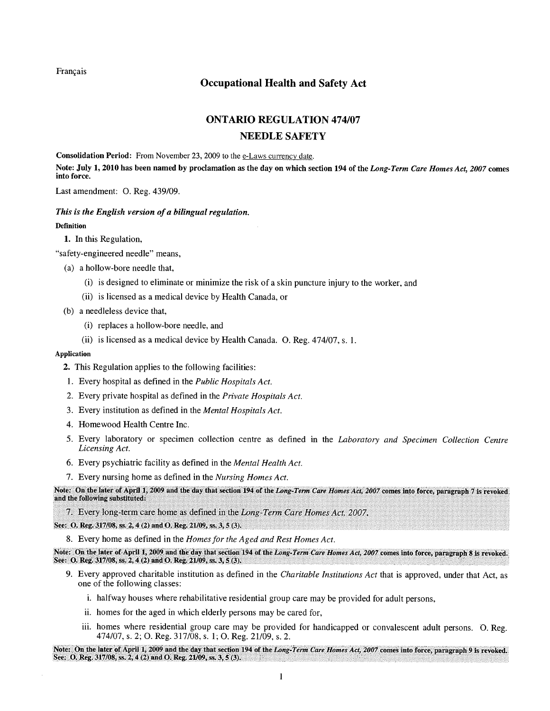Francais

# Occupational Health and Safety Act

# ONTARIO REGULATION 474/07 NEEDLE SAFETY

Consolidation Period: From November 23, 2009 to the e-Laws currency date.

Note: July 1, 2010 has been named by proclamation as the day on which section 194 of the Long-Term Care Homes Act, 2007 comes into force.

Last amendment: 0. Reg. 439/09.

# This is the English version of a bilingual regulation. Definition

1. In this Regulation,

"safety-engineered needle" means,

- (a) a hollow-bore needle that,
	- (i) is designed to eliminate or minimize the risk of a skin puncture injury to the worker, and
	- (ii) is licensed as a medical device by Health Canada, or
- (b) a needleless device that,
	- (i) replaces a hollow-bore needle, and
	- (ii) is licensed as a medical device by Health Canada. 0. Reg. 474/07, s. 1.

# Application

- 2. This Regulation applies to the following facilities:
- 1. Every hospital as defined in the Public Hospitals Act.
- 2. Every private hospital as defined in the Private Hospitals Act.
- 3. Every institution as defined in the Mental Hospitals Act.
- 4. Homewood Health Centre Inc.
- 5. Every laboratory or specimen collection centre as defined in the Laboratory and Specimen Collection Centre Licensing Act.
- 6. Every psychiatric facility as defined in the Mental Health Act.
- 7. Every nursing home as defined in the Nursing Homes Act.

Note: On the later of April 1, 2009 and the day that section 194 of the Long-Term Care Homes Act, 2007 comes into force, paragraph 7 is revoked and the following substituted:

7. Every long-term care home as defined in the Long-Term Care Homes Act, 2007.

See: O. Reg. 317/08, ss. 2, 4 (2) and O. Reg. 21/09, ss. 3, 5 (3).

8. Every home as defined in the Homes for the Aged and Rest Homes Act.

Note: On the later of April 1, 2009 and the day that section 194 of the Long-Term Care Homes Act, 2007 comes into force, paragraph 8 is revoked. See: O. Reg. 317/08, ss. 2, 4 (2) and O. Reg. 21/09, ss. 3, 5 (3).

- 9. Every approved charitable institution as defined in the Charitable Institutions Act that is approved, under that Act, as one of the following classes:
	- i. halfway houses where rehabilitative residential group care may be provided for adult persons,
	- ii. homes for the aged in which elderly persons may be cared for,
	- iii. homes where residential group care may be provided for handicapped or convalescent adult persons. 0. Reg. 474/07,s. 2; 0.Reg. 317108,s. l:0.Reg. 21/09. s.2.

Note: On the later of April 1, 2009 and the day that section 194 of the Long-Term Care Homes Act, 2007 comes into force, paragraph 9 is revoked. See: O. Reg. 317/08, ss. 2, 4 (2) and O. Reg. 21/09, ss. 3, 5 (3).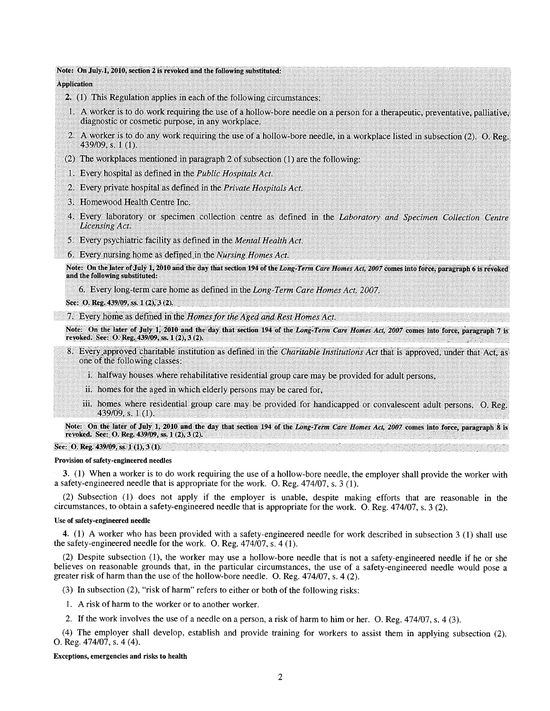### Note: On July 1, 2010, section 2 is revoked and the following substituted:

## Application

- 2. (1) This Regulation applies in each of the following circumstances:
- 1. A worker is to do work requiring the use of a hollow-bore needle on a person for a therapeutic, preventative, palliative, diagnostic or cosmetic purpose, in any workplace.
- 2. A worker is to do any work requiring the use of a hollow-bore needle, in a workplace listed in subsection (2). 0. Reg. 439/09, s. 1(1).
- (2) The workplaces mentioned in paragraph 2 of subsection (1) are the following:
- 1. Every hospital as defined in the Public Hospitals Act.
- 2. Every private hospital as defined in the Private Hospitals Act.
- 3. Homewood Health Centre Inc.
- 4. Every laboratory or specimen collection centre as defined in the Laboratory and Specimen Collection Centre Licensing Act.
- 5. Every psychiatric facility as defined in the Mental Health Act.

6. Every nursing home as defined in the Nursing Homes Act.

Note: On the later of July 1, 2010 and the day that section 194 of the Long-Term Care Homes Act, 2007 comes into force, paragraph 6 is revoked and the following substituted:

6. Every long-term care home as defmed in the Long-Term Care Homes Act, 2007.

## See: O. Reg. 439/09, ss. 1 (2), 3 (2).

7. Every home as defined in the Homes for the Aged and Rest Homes Act.

Note: On the later of July 1, 2010 and the day that section 194 of the Long-Term Care Homes Act, 2007 comes into force, paragraph 7 is revoked. See: O. Reg. 439/09, ss. 1(2), 3(2).

- 8. Every approved charitable institution as defined in the Charitable Institutions Act that is approved, under that Act, as one of the following classes:
	- i. halfway houses where rehabilitative residential group care may be provided for adult persons,
	- ii. homes for the aged in which elderly persons may be cared for,
	- iii. homes where residential group care may be provided for handicapped or convalescent adult persons. 0. Reg. 439/09, s. 1(1).

Note: On the later of July 1, 2010 and the day that section 194 of the Long-Term Care Homes Act, 2007 comes into force, paragraph 8 is revoked. See: 0. Reg. 439/09, ss. 1(2), 3(2).

# See: O. Reg. 439/09, ss. 1(1), 3(1).

### Provision of safety-engineered needles

3. (1) When a worker is to do work requiring the use of a hollow-bore needle, the employer shall provide the worker with a safety-engineered needle that is appropriate for the work. 0. Reg. 474/07, s. <sup>3</sup> (1).

(2) Subsection (1) does not apply if the employer is unable, despite making efforts that are reasonable in the circumstances, to obtain a safety-engineered needle that is appropriate for the work. 0. Reg. 474/07, s. <sup>3</sup> (2).

#### Use of safety-engineered needle

4. (1) A worker who has been provided with a safety-engineered needle for work described in subsection <sup>3</sup> (1) shall use the safety-engineered needle for the work. 0. Reg. 474/07, s. 4 (1).

(2) Despite subsection (1), the worker may use a hollow-bore needle that is not a safety-engineered needle if he or she believes on reasonable grounds that, in the particular circumstances, the use of a safety-engineered needle would pose a greater risk of harm than the use of the hollow-bore needle. 0. Reg. 474/07, s. 4 (2).

(3) In subsection (2), "risk of harm" refers to either or both of the following risks:

1. A risk of harm to the worker or to another worker.

2. If the work involves the use of a needle on a person, a risk of harm to him or her. 0. Reg. 474/07, s. 4 (3).

(4) The employer shall develop, establish and provide training for workers to assist them in applying subsection (2). 0. Reg. 474/07, s. 4 (4).

## Exceptions, emergencies and risks to health